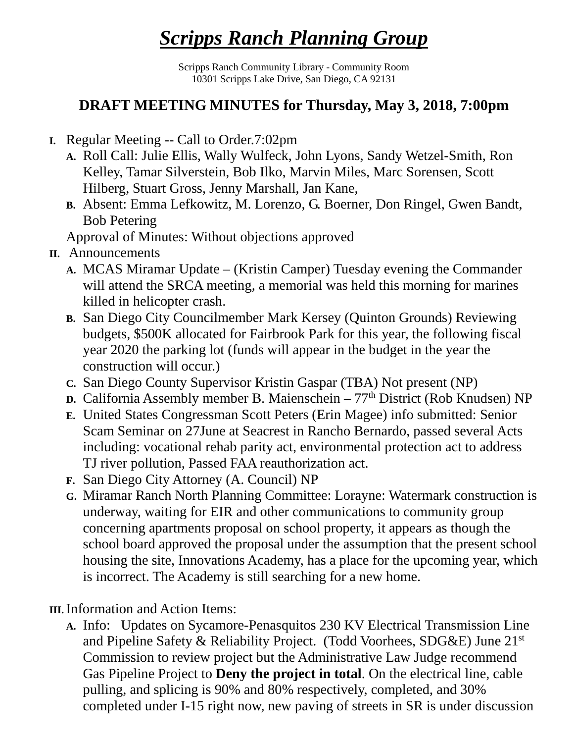## *Scripps Ranch Planning Group*

Scripps Ranch Community Library - Community Room 10301 Scripps Lake Drive, San Diego, CA 92131

## **DRAFT MEETING MINUTES for Thursday, May 3, 2018, 7:00pm**

- **I.** Regular Meeting -- Call to Order.7:02pm
	- **A.** Roll Call: Julie Ellis, Wally Wulfeck, John Lyons, Sandy Wetzel-Smith, Ron Kelley, Tamar Silverstein, Bob Ilko, Marvin Miles, Marc Sorensen, Scott Hilberg, Stuart Gross, Jenny Marshall, Jan Kane,
	- **B.** Absent: Emma Lefkowitz, M. Lorenzo, G. Boerner, Don Ringel, Gwen Bandt, Bob Petering

Approval of Minutes: Without objections approved

- **II.** Announcements
	- **A.** MCAS Miramar Update (Kristin Camper) Tuesday evening the Commander will attend the SRCA meeting, a memorial was held this morning for marines killed in helicopter crash.
	- **B.** San Diego City Councilmember Mark Kersey (Quinton Grounds) Reviewing budgets, \$500K allocated for Fairbrook Park for this year, the following fiscal year 2020 the parking lot (funds will appear in the budget in the year the construction will occur.)
	- **C.** San Diego County Supervisor Kristin Gaspar (TBA) Not present (NP)
	- **D.** California Assembly member B. Maienschein 77<sup>th</sup> District (Rob Knudsen) NP
	- **E.** United States Congressman Scott Peters (Erin Magee) info submitted: Senior Scam Seminar on 27June at Seacrest in Rancho Bernardo, passed several Acts including: vocational rehab parity act, environmental protection act to address TJ river pollution, Passed FAA reauthorization act.
	- **F.** San Diego City Attorney (A. Council) NP
	- **G.** Miramar Ranch North Planning Committee: Lorayne: Watermark construction is underway, waiting for EIR and other communications to community group concerning apartments proposal on school property, it appears as though the school board approved the proposal under the assumption that the present school housing the site, Innovations Academy, has a place for the upcoming year, which is incorrect. The Academy is still searching for a new home.

**III.**Information and Action Items:

**A.** Info: Updates on Sycamore-Penasquitos 230 KV Electrical Transmission Line and Pipeline Safety & Reliability Project. (Todd Voorhees, SDG&E) June 21st Commission to review project but the Administrative Law Judge recommend Gas Pipeline Project to **Deny the project in total**. On the electrical line, cable pulling, and splicing is 90% and 80% respectively, completed, and 30% completed under I-15 right now, new paving of streets in SR is under discussion